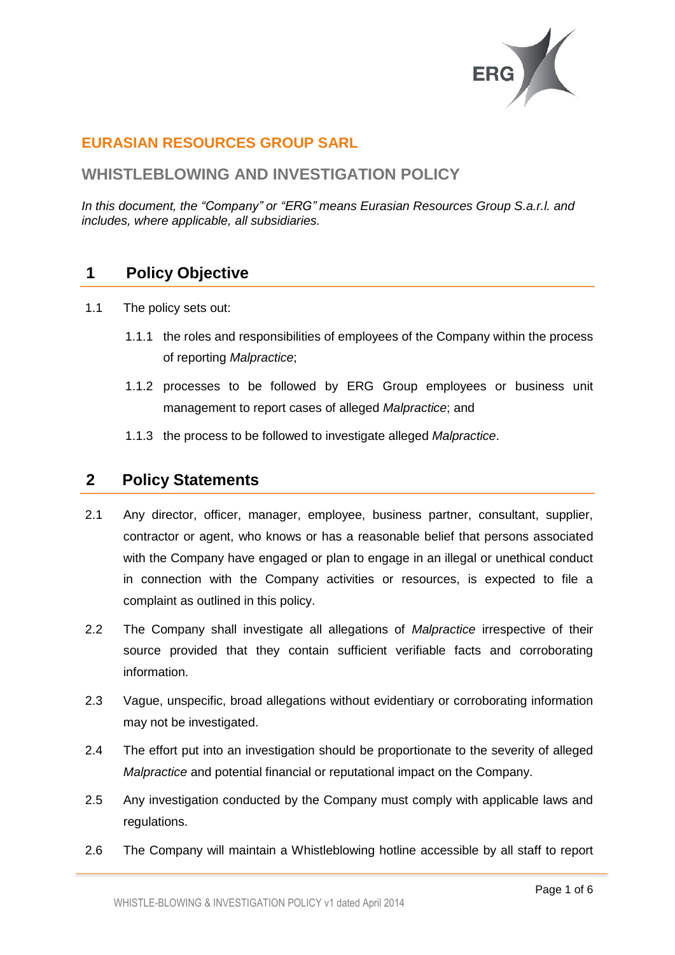

## **EURASIAN RESOURCES GROUP SARL**

### **WHISTLEBLOWING AND INVESTIGATION POLICY**

*In this document, the "Company" or "ERG" means Eurasian Resources Group S.a.r.l. and includes, where applicable, all subsidiaries.*

# **1 Policy Objective**

- 1.1 The policy sets out:
	- 1.1.1 the roles and responsibilities of employees of the Company within the process of reporting *Malpractice*;
	- 1.1.2 processes to be followed by ERG Group employees or business unit management to report cases of alleged *Malpractice*; and
	- 1.1.3 the process to be followed to investigate alleged *Malpractice*.

#### **2 Policy Statements**

- 2.1 Any director, officer, manager, employee, business partner, consultant, supplier, contractor or agent, who knows or has a reasonable belief that persons associated with the Company have engaged or plan to engage in an illegal or unethical conduct in connection with the Company activities or resources, is expected to file a complaint as outlined in this policy.
- 2.2 The Company shall investigate all allegations of *Malpractice* irrespective of their source provided that they contain sufficient verifiable facts and corroborating information.
- 2.3 Vague, unspecific, broad allegations without evidentiary or corroborating information may not be investigated.
- 2.4 The effort put into an investigation should be proportionate to the severity of alleged *Malpractice* and potential financial or reputational impact on the Company.
- 2.5 Any investigation conducted by the Company must comply with applicable laws and regulations.
- 2.6 The Company will maintain a Whistleblowing hotline accessible by all staff to report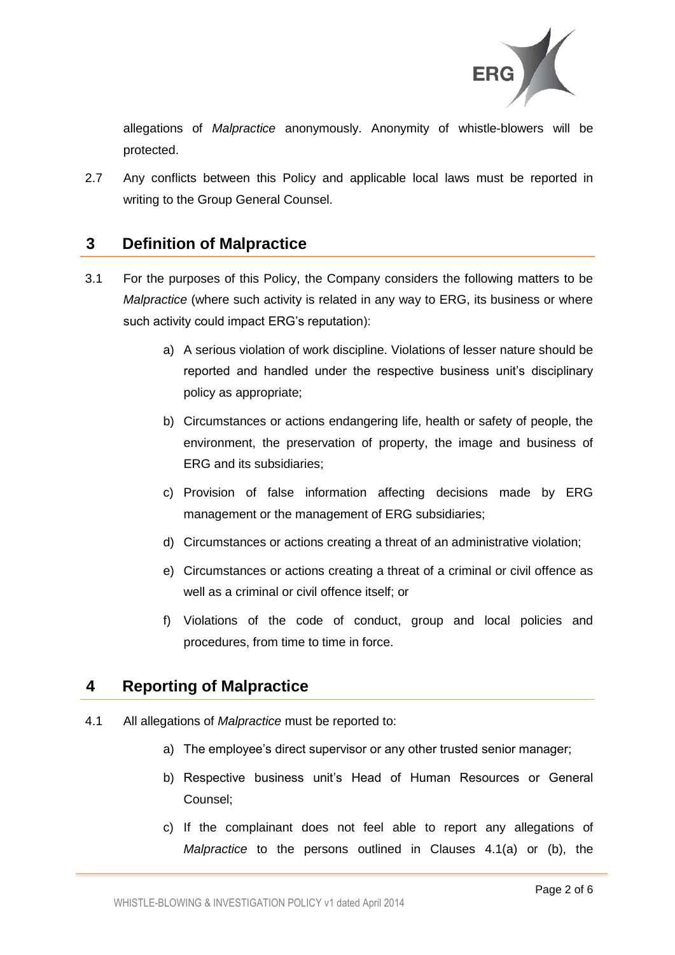

allegations of *Malpractice* anonymously. Anonymity of whistle-blowers will be protected.

2.7 Any conflicts between this Policy and applicable local laws must be reported in writing to the Group General Counsel.

### **3 Definition of Malpractice**

- 3.1 For the purposes of this Policy, the Company considers the following matters to be *Malpractice* (where such activity is related in any way to ERG, its business or where such activity could impact ERG's reputation):
	- a) A serious violation of work discipline. Violations of lesser nature should be reported and handled under the respective business unit's disciplinary policy as appropriate;
	- b) Circumstances or actions endangering life, health or safety of people, the environment, the preservation of property, the image and business of ERG and its subsidiaries;
	- c) Provision of false information affecting decisions made by ERG management or the management of ERG subsidiaries;
	- d) Circumstances or actions creating a threat of an administrative violation;
	- e) Circumstances or actions creating a threat of a criminal or civil offence as well as a criminal or civil offence itself; or
	- f) Violations of the code of conduct, group and local policies and procedures, from time to time in force.

# **4 Reporting of Malpractice**

- 4.1 All allegations of *Malpractice* must be reported to:
	- a) The employee's direct supervisor or any other trusted senior manager;
	- b) Respective business unit's Head of Human Resources or General Counsel;
	- c) If the complainant does not feel able to report any allegations of *Malpractice* to the persons outlined in Clauses 4.1(a) or (b), the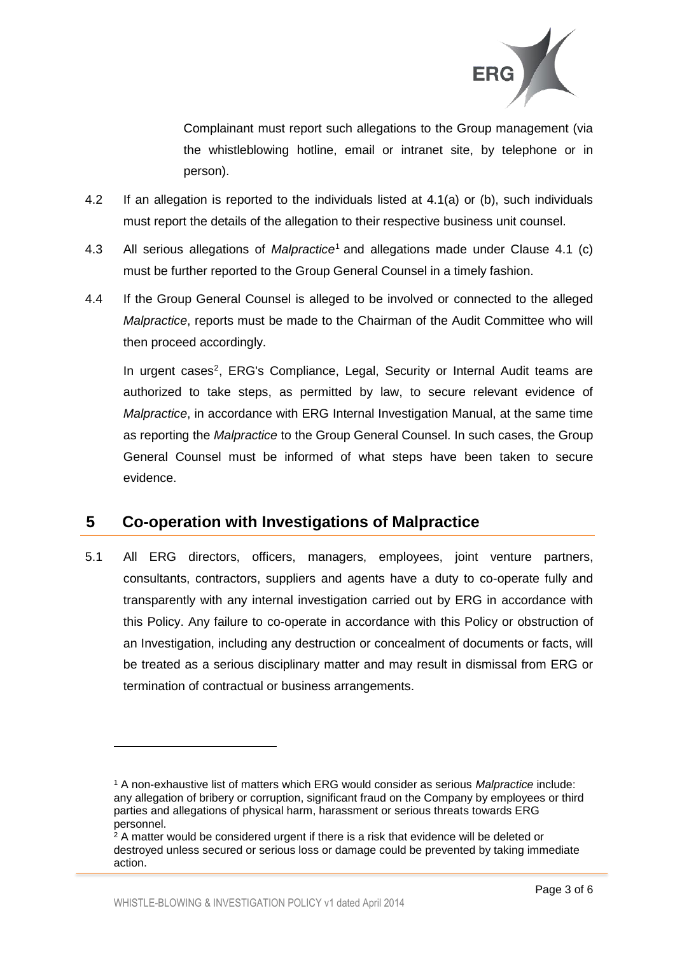

Complainant must report such allegations to the Group management (via the whistleblowing hotline, email or intranet site, by telephone or in person).

- 4.2 If an allegation is reported to the individuals listed at 4.1(a) or (b), such individuals must report the details of the allegation to their respective business unit counsel.
- 4.3 All serious allegations of *Malpractice*<sup>1</sup> and allegations made under Clause 4.1 (c) must be further reported to the Group General Counsel in a timely fashion.
- 4.4 If the Group General Counsel is alleged to be involved or connected to the alleged *Malpractice*, reports must be made to the Chairman of the Audit Committee who will then proceed accordingly.

In urgent cases<sup>2</sup>, ERG's Compliance, Legal, Security or Internal Audit teams are authorized to take steps, as permitted by law, to secure relevant evidence of *Malpractice*, in accordance with ERG Internal Investigation Manual, at the same time as reporting the *Malpractice* to the Group General Counsel. In such cases, the Group General Counsel must be informed of what steps have been taken to secure evidence.

# **5 Co-operation with Investigations of Malpractice**

5.1 All ERG directors, officers, managers, employees, joint venture partners, consultants, contractors, suppliers and agents have a duty to co-operate fully and transparently with any internal investigation carried out by ERG in accordance with this Policy. Any failure to co-operate in accordance with this Policy or obstruction of an Investigation, including any destruction or concealment of documents or facts, will be treated as a serious disciplinary matter and may result in dismissal from ERG or termination of contractual or business arrangements.

l

<sup>1</sup> A non-exhaustive list of matters which ERG would consider as serious *Malpractice* include: any allegation of bribery or corruption, significant fraud on the Company by employees or third parties and allegations of physical harm, harassment or serious threats towards ERG personnel.

 $2$  A matter would be considered urgent if there is a risk that evidence will be deleted or destroyed unless secured or serious loss or damage could be prevented by taking immediate action.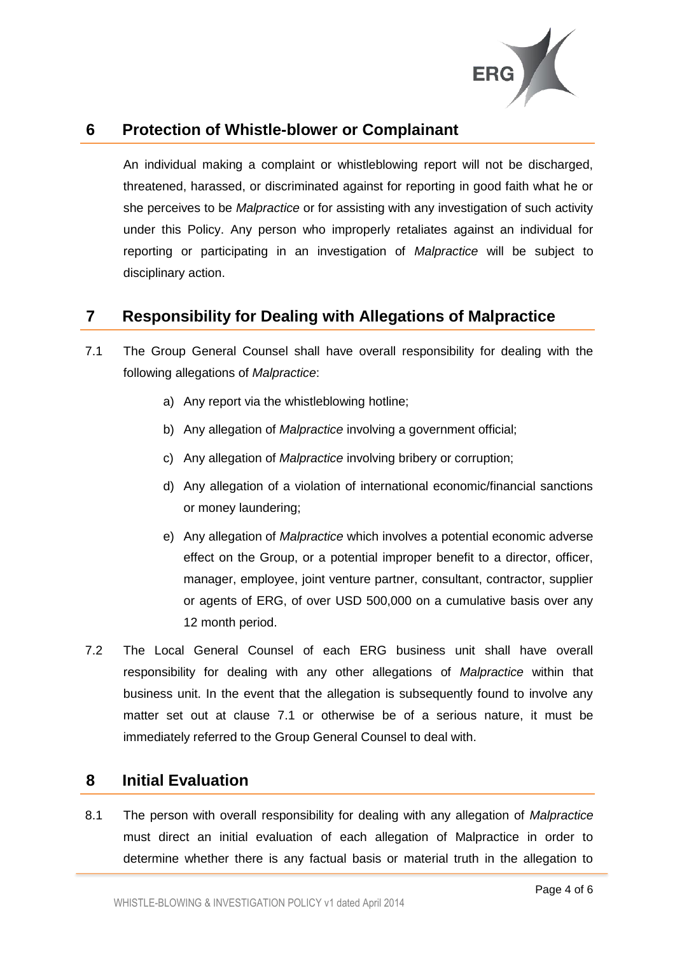

### **6 Protection of Whistle-blower or Complainant**

An individual making a complaint or whistleblowing report will not be discharged, threatened, harassed, or discriminated against for reporting in good faith what he or she perceives to be *Malpractice* or for assisting with any investigation of such activity under this Policy. Any person who improperly retaliates against an individual for reporting or participating in an investigation of *Malpractice* will be subject to disciplinary action.

# **7 Responsibility for Dealing with Allegations of Malpractice**

- 7.1 The Group General Counsel shall have overall responsibility for dealing with the following allegations of *Malpractice*:
	- a) Any report via the whistleblowing hotline;
	- b) Any allegation of *Malpractice* involving a government official;
	- c) Any allegation of *Malpractice* involving bribery or corruption;
	- d) Any allegation of a violation of international economic/financial sanctions or money laundering;
	- e) Any allegation of *Malpractice* which involves a potential economic adverse effect on the Group, or a potential improper benefit to a director, officer, manager, employee, joint venture partner, consultant, contractor, supplier or agents of ERG, of over USD 500,000 on a cumulative basis over any 12 month period.
- 7.2 The Local General Counsel of each ERG business unit shall have overall responsibility for dealing with any other allegations of *Malpractice* within that business unit. In the event that the allegation is subsequently found to involve any matter set out at clause 7.1 or otherwise be of a serious nature, it must be immediately referred to the Group General Counsel to deal with.

#### **8 Initial Evaluation**

8.1 The person with overall responsibility for dealing with any allegation of *Malpractice* must direct an initial evaluation of each allegation of Malpractice in order to determine whether there is any factual basis or material truth in the allegation to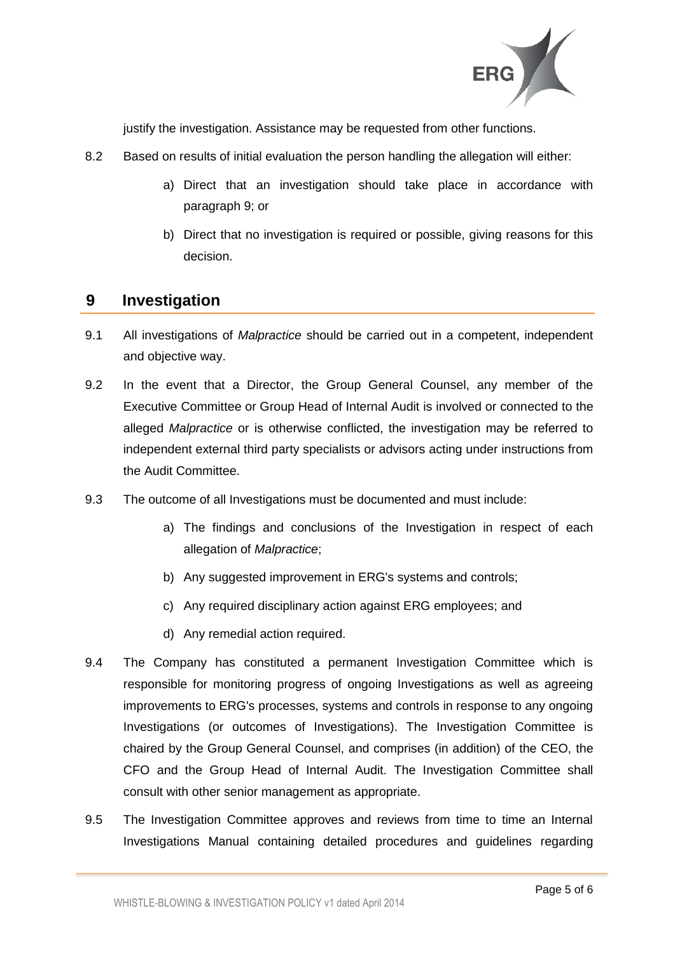

justify the investigation. Assistance may be requested from other functions.

- 8.2 Based on results of initial evaluation the person handling the allegation will either:
	- a) Direct that an investigation should take place in accordance with paragraph 9; or
	- b) Direct that no investigation is required or possible, giving reasons for this decision.

#### **9 Investigation**

- 9.1 All investigations of *Malpractice* should be carried out in a competent, independent and objective way.
- 9.2 In the event that a Director, the Group General Counsel, any member of the Executive Committee or Group Head of Internal Audit is involved or connected to the alleged *Malpractice* or is otherwise conflicted, the investigation may be referred to independent external third party specialists or advisors acting under instructions from the Audit Committee.
- 9.3 The outcome of all Investigations must be documented and must include:
	- a) The findings and conclusions of the Investigation in respect of each allegation of *Malpractice*;
	- b) Any suggested improvement in ERG's systems and controls;
	- c) Any required disciplinary action against ERG employees; and
	- d) Any remedial action required.
- 9.4 The Company has constituted a permanent Investigation Committee which is responsible for monitoring progress of ongoing Investigations as well as agreeing improvements to ERG's processes, systems and controls in response to any ongoing Investigations (or outcomes of Investigations). The Investigation Committee is chaired by the Group General Counsel, and comprises (in addition) of the CEO, the CFO and the Group Head of Internal Audit. The Investigation Committee shall consult with other senior management as appropriate.
- 9.5 The Investigation Committee approves and reviews from time to time an Internal Investigations Manual containing detailed procedures and guidelines regarding